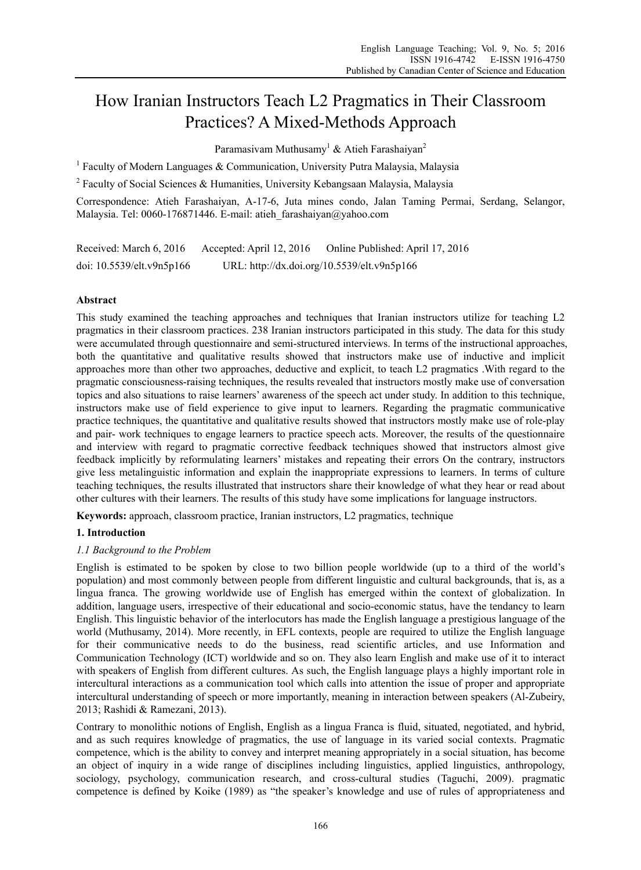# How Iranian Instructors Teach L2 Pragmatics in Their Classroom Practices? A Mixed-Methods Approach

Paramasivam Muthusamy<sup>1</sup> & Atieh Farashaiyan<sup>2</sup>

<sup>1</sup> Faculty of Modern Languages & Communication, University Putra Malaysia, Malaysia

<sup>2</sup> Faculty of Social Sciences & Humanities, University Kebangsaan Malaysia, Malaysia

Correspondence: Atieh Farashaiyan, A-17-6, Juta mines condo, Jalan Taming Permai, Serdang, Selangor, Malaysia. Tel: 0060-176871446. E-mail: atieh\_farashaiyan@yahoo.com

| Received: March 6, 2016      | Accepted: April 12, 2016 | Online Published: April 17, 2016            |
|------------------------------|--------------------------|---------------------------------------------|
| doi: $10.5539$ /elt.v9n5p166 |                          | URL: http://dx.doi.org/10.5539/elt.v9n5p166 |

## **Abstract**

This study examined the teaching approaches and techniques that Iranian instructors utilize for teaching L2 pragmatics in their classroom practices. 238 Iranian instructors participated in this study. The data for this study were accumulated through questionnaire and semi-structured interviews. In terms of the instructional approaches, both the quantitative and qualitative results showed that instructors make use of inductive and implicit approaches more than other two approaches, deductive and explicit, to teach L2 pragmatics .With regard to the pragmatic consciousness-raising techniques, the results revealed that instructors mostly make use of conversation topics and also situations to raise learners' awareness of the speech act under study. In addition to this technique, instructors make use of field experience to give input to learners. Regarding the pragmatic communicative practice techniques, the quantitative and qualitative results showed that instructors mostly make use of role-play and pair- work techniques to engage learners to practice speech acts. Moreover, the results of the questionnaire and interview with regard to pragmatic corrective feedback techniques showed that instructors almost give feedback implicitly by reformulating learners' mistakes and repeating their errors On the contrary, instructors give less metalinguistic information and explain the inappropriate expressions to learners. In terms of culture teaching techniques, the results illustrated that instructors share their knowledge of what they hear or read about other cultures with their learners. The results of this study have some implications for language instructors.

**Keywords:** approach, classroom practice, Iranian instructors, L2 pragmatics, technique

## **1. Introduction**

## *1.1 Background to the Problem*

English is estimated to be spoken by close to two billion people worldwide (up to a third of the world's population) and most commonly between people from different linguistic and cultural backgrounds, that is, as a lingua franca. The growing worldwide use of English has emerged within the context of globalization. In addition, language users, irrespective of their educational and socio-economic status, have the tendancy to learn English. This linguistic behavior of the interlocutors has made the English language a prestigious language of the world (Muthusamy, 2014). More recently, in EFL contexts, people are required to utilize the English language for their communicative needs to do the business, read scientific articles, and use Information and Communication Technology (ICT) worldwide and so on. They also learn English and make use of it to interact with speakers of English from different cultures. As such, the English language plays a highly important role in intercultural interactions as a communication tool which calls into attention the issue of proper and appropriate intercultural understanding of speech or more importantly, meaning in interaction between speakers (Al-Zubeiry, 2013; Rashidi & Ramezani, 2013).

Contrary to monolithic notions of English, English as a lingua Franca is fluid, situated, negotiated, and hybrid, and as such requires knowledge of pragmatics, the use of language in its varied social contexts. Pragmatic competence, which is the ability to convey and interpret meaning appropriately in a social situation, has become an object of inquiry in a wide range of disciplines including linguistics, applied linguistics, anthropology, sociology, psychology, communication research, and cross-cultural studies (Taguchi, 2009). pragmatic competence is defined by Koike (1989) as "the speaker's knowledge and use of rules of appropriateness and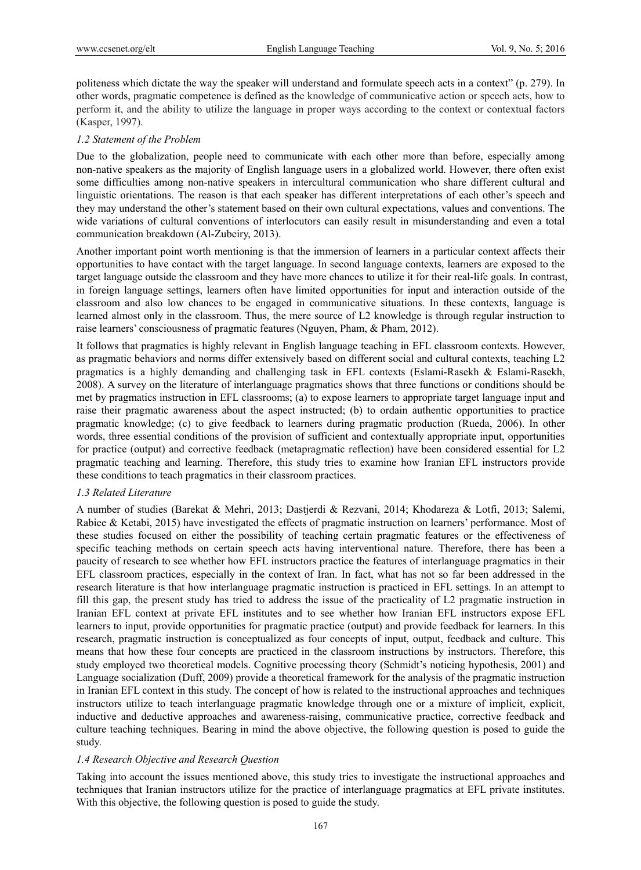politeness which dictate the way the speaker will understand and formulate speech acts in a context" (p. 279). In other words, pragmatic competence is defined as the knowledge of communicative action or speech acts, how to perform it, and the ability to utilize the language in proper ways according to the context or contextual factors (Kasper, 1997).

## *1.2 Statement of the Problem*

Due to the globalization, people need to communicate with each other more than before, especially among non-native speakers as the majority of English language users in a globalized world. However, there often exist some difficulties among non-native speakers in intercultural communication who share different cultural and linguistic orientations. The reason is that each speaker has different interpretations of each other's speech and they may understand the other's statement based on their own cultural expectations, values and conventions. The wide variations of cultural conventions of interlocutors can easily result in misunderstanding and even a total communication breakdown (Al-Zubeiry, 2013).

Another important point worth mentioning is that the immersion of learners in a particular context affects their opportunities to have contact with the target language. In second language contexts, learners are exposed to the target language outside the classroom and they have more chances to utilize it for their real-life goals. In contrast, in foreign language settings, learners often have limited opportunities for input and interaction outside of the classroom and also low chances to be engaged in communicative situations. In these contexts, language is learned almost only in the classroom. Thus, the mere source of L2 knowledge is through regular instruction to raise learners' consciousness of pragmatic features (Nguyen, Pham, & Pham, 2012).

It follows that pragmatics is highly relevant in English language teaching in EFL classroom contexts. However, as pragmatic behaviors and norms differ extensively based on different social and cultural contexts, teaching L2 pragmatics is a highly demanding and challenging task in EFL contexts (Eslami-Rasekh & Eslami-Rasekh, 2008). A survey on the literature of interlanguage pragmatics shows that three functions or conditions should be met by pragmatics instruction in EFL classrooms; (a) to expose learners to appropriate target language input and raise their pragmatic awareness about the aspect instructed; (b) to ordain authentic opportunities to practice pragmatic knowledge; (c) to give feedback to learners during pragmatic production (Rueda, 2006). In other words, three essential conditions of the provision of sufficient and contextually appropriate input, opportunities for practice (output) and corrective feedback (metapragmatic reflection) have been considered essential for L2 pragmatic teaching and learning. Therefore, this study tries to examine how Iranian EFL instructors provide these conditions to teach pragmatics in their classroom practices.

## *1.3 Related Literature*

A number of studies (Barekat & Mehri, 2013; Dastjerdi & Rezvani, 2014; Khodareza & Lotfi, 2013; Salemi, Rabiee & Ketabi, 2015) have investigated the effects of pragmatic instruction on learners' performance. Most of these studies focused on either the possibility of teaching certain pragmatic features or the effectiveness of specific teaching methods on certain speech acts having interventional nature. Therefore, there has been a paucity of research to see whether how EFL instructors practice the features of interlanguage pragmatics in their EFL classroom practices, especially in the context of Iran. In fact, what has not so far been addressed in the research literature is that how interlanguage pragmatic instruction is practiced in EFL settings. In an attempt to fill this gap, the present study has tried to address the issue of the practicality of L2 pragmatic instruction in Iranian EFL context at private EFL institutes and to see whether how Iranian EFL instructors expose EFL learners to input, provide opportunities for pragmatic practice (output) and provide feedback for learners. In this research, pragmatic instruction is conceptualized as four concepts of input, output, feedback and culture. This means that how these four concepts are practiced in the classroom instructions by instructors. Therefore, this study employed two theoretical models. Cognitive processing theory (Schmidt's noticing hypothesis, 2001) and Language socialization (Duff, 2009) provide a theoretical framework for the analysis of the pragmatic instruction in Iranian EFL context in this study. The concept of how is related to the instructional approaches and techniques instructors utilize to teach interlanguage pragmatic knowledge through one or a mixture of implicit, explicit, inductive and deductive approaches and awareness-raising, communicative practice, corrective feedback and culture teaching techniques. Bearing in mind the above objective, the following question is posed to guide the study.

## *1.4 Research Objective and Research Question*

Taking into account the issues mentioned above, this study tries to investigate the instructional approaches and techniques that Iranian instructors utilize for the practice of interlanguage pragmatics at EFL private institutes. With this objective, the following question is posed to guide the study.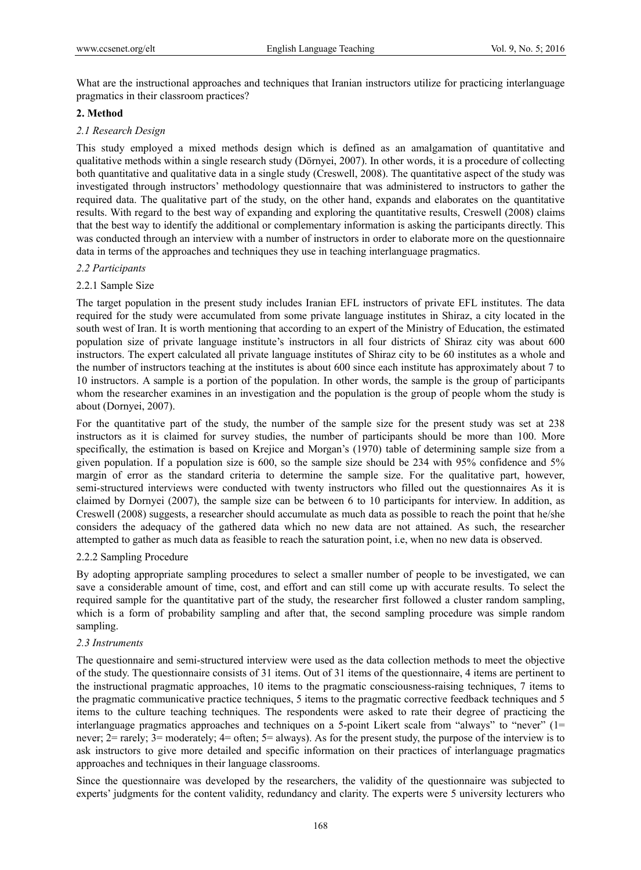What are the instructional approaches and techniques that Iranian instructors utilize for practicing interlanguage pragmatics in their classroom practices?

#### **2. Method**

#### *2.1 Research Design*

This study employed a mixed methods design which is defined as an amalgamation of quantitative and qualitative methods within a single research study (Dörnyei, 2007). In other words, it is a procedure of collecting both quantitative and qualitative data in a single study (Creswell, 2008). The quantitative aspect of the study was investigated through instructors' methodology questionnaire that was administered to instructors to gather the required data. The qualitative part of the study, on the other hand, expands and elaborates on the quantitative results. With regard to the best way of expanding and exploring the quantitative results, Creswell (2008) claims that the best way to identify the additional or complementary information is asking the participants directly. This was conducted through an interview with a number of instructors in order to elaborate more on the questionnaire data in terms of the approaches and techniques they use in teaching interlanguage pragmatics.

#### *2.2 Participants*

#### 2.2.1 Sample Size

The target population in the present study includes Iranian EFL instructors of private EFL institutes. The data required for the study were accumulated from some private language institutes in Shiraz, a city located in the south west of Iran. It is worth mentioning that according to an expert of the Ministry of Education, the estimated population size of private language institute's instructors in all four districts of Shiraz city was about 600 instructors. The expert calculated all private language institutes of Shiraz city to be 60 institutes as a whole and the number of instructors teaching at the institutes is about 600 since each institute has approximately about 7 to 10 instructors. A sample is a portion of the population. In other words, the sample is the group of participants whom the researcher examines in an investigation and the population is the group of people whom the study is about (Dornyei, 2007).

For the quantitative part of the study, the number of the sample size for the present study was set at 238 instructors as it is claimed for survey studies, the number of participants should be more than 100. More specifically, the estimation is based on Krejice and Morgan's (1970) table of determining sample size from a given population. If a population size is 600, so the sample size should be 234 with 95% confidence and 5% margin of error as the standard criteria to determine the sample size. For the qualitative part, however, semi-structured interviews were conducted with twenty instructors who filled out the questionnaires As it is claimed by Dornyei (2007), the sample size can be between 6 to 10 participants for interview. In addition, as Creswell (2008) suggests, a researcher should accumulate as much data as possible to reach the point that he/she considers the adequacy of the gathered data which no new data are not attained. As such, the researcher attempted to gather as much data as feasible to reach the saturation point, i.e, when no new data is observed.

#### 2.2.2 Sampling Procedure

By adopting appropriate sampling procedures to select a smaller number of people to be investigated, we can save a considerable amount of time, cost, and effort and can still come up with accurate results. To select the required sample for the quantitative part of the study, the researcher first followed a cluster random sampling, which is a form of probability sampling and after that, the second sampling procedure was simple random sampling.

#### *2.3 Instruments*

The questionnaire and semi-structured interview were used as the data collection methods to meet the objective of the study. The questionnaire consists of 31 items. Out of 31 items of the questionnaire, 4 items are pertinent to the instructional pragmatic approaches, 10 items to the pragmatic consciousness-raising techniques, 7 items to the pragmatic communicative practice techniques, 5 items to the pragmatic corrective feedback techniques and 5 items to the culture teaching techniques. The respondents were asked to rate their degree of practicing the interlanguage pragmatics approaches and techniques on a 5-point Likert scale from "always" to "never" (1= never; 2= rarely; 3= moderately; 4= often; 5= always). As for the present study, the purpose of the interview is to ask instructors to give more detailed and specific information on their practices of interlanguage pragmatics approaches and techniques in their language classrooms.

Since the questionnaire was developed by the researchers, the validity of the questionnaire was subjected to experts' judgments for the content validity, redundancy and clarity. The experts were 5 university lecturers who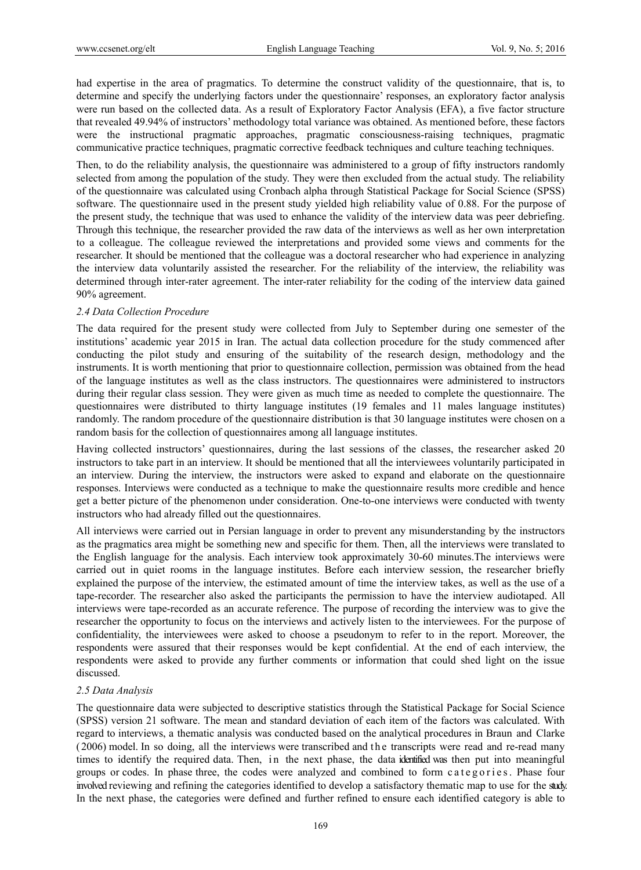had expertise in the area of pragmatics. To determine the construct validity of the questionnaire, that is, to determine and specify the underlying factors under the questionnaire' responses, an exploratory factor analysis were run based on the collected data. As a result of Exploratory Factor Analysis (EFA), a five factor structure that revealed 49.94% of instructors' methodology total variance was obtained. As mentioned before, these factors were the instructional pragmatic approaches, pragmatic consciousness-raising techniques, pragmatic communicative practice techniques, pragmatic corrective feedback techniques and culture teaching techniques.

Then, to do the reliability analysis, the questionnaire was administered to a group of fifty instructors randomly selected from among the population of the study. They were then excluded from the actual study. The reliability of the questionnaire was calculated using Cronbach alpha through Statistical Package for Social Science (SPSS) software. The questionnaire used in the present study yielded high reliability value of 0.88. For the purpose of the present study, the technique that was used to enhance the validity of the interview data was peer debriefing. Through this technique, the researcher provided the raw data of the interviews as well as her own interpretation to a colleague. The colleague reviewed the interpretations and provided some views and comments for the researcher. It should be mentioned that the colleague was a doctoral researcher who had experience in analyzing the interview data voluntarily assisted the researcher. For the reliability of the interview, the reliability was determined through inter-rater agreement. The inter-rater reliability for the coding of the interview data gained 90% agreement.

## *2.4 Data Collection Procedure*

The data required for the present study were collected from July to September during one semester of the institutions' academic year 2015 in Iran. The actual data collection procedure for the study commenced after conducting the pilot study and ensuring of the suitability of the research design, methodology and the instruments. It is worth mentioning that prior to questionnaire collection, permission was obtained from the head of the language institutes as well as the class instructors. The questionnaires were administered to instructors during their regular class session. They were given as much time as needed to complete the questionnaire. The questionnaires were distributed to thirty language institutes (19 females and 11 males language institutes) randomly. The random procedure of the questionnaire distribution is that 30 language institutes were chosen on a random basis for the collection of questionnaires among all language institutes.

Having collected instructors' questionnaires, during the last sessions of the classes, the researcher asked 20 instructors to take part in an interview. It should be mentioned that all the interviewees voluntarily participated in an interview. During the interview, the instructors were asked to expand and elaborate on the questionnaire responses. Interviews were conducted as a technique to make the questionnaire results more credible and hence get a better picture of the phenomenon under consideration. One-to-one interviews were conducted with twenty instructors who had already filled out the questionnaires.

All interviews were carried out in Persian language in order to prevent any misunderstanding by the instructors as the pragmatics area might be something new and specific for them. Then, all the interviews were translated to the English language for the analysis. Each interview took approximately 30-60 minutes.The interviews were carried out in quiet rooms in the language institutes. Before each interview session, the researcher briefly explained the purpose of the interview, the estimated amount of time the interview takes, as well as the use of a tape-recorder. The researcher also asked the participants the permission to have the interview audiotaped. All interviews were tape-recorded as an accurate reference. The purpose of recording the interview was to give the researcher the opportunity to focus on the interviews and actively listen to the interviewees. For the purpose of confidentiality, the interviewees were asked to choose a pseudonym to refer to in the report. Moreover, the respondents were assured that their responses would be kept confidential. At the end of each interview, the respondents were asked to provide any further comments or information that could shed light on the issue discussed.

## *2.5 Data Analysis*

The questionnaire data were subjected to descriptive statistics through the Statistical Package for Social Science (SPSS) version 21 software. The mean and standard deviation of each item of the factors was calculated. With regard to interviews, a thematic analysis was conducted based on the analytical procedures in Braun and Clarke (2006) model. In so doing, all the interviews were transcribed and the transcripts were read and re-read many times to identify the required data. Then, in the next phase, the data identified was then put into meaningful groups or codes. In phase three, the codes were analyzed and combined to form categories. Phase four involved reviewing and refining the categories identified to develop a satisfactory thematic map to use for the study. In the next phase, the categories were defined and further refined to ensure each identified category is able to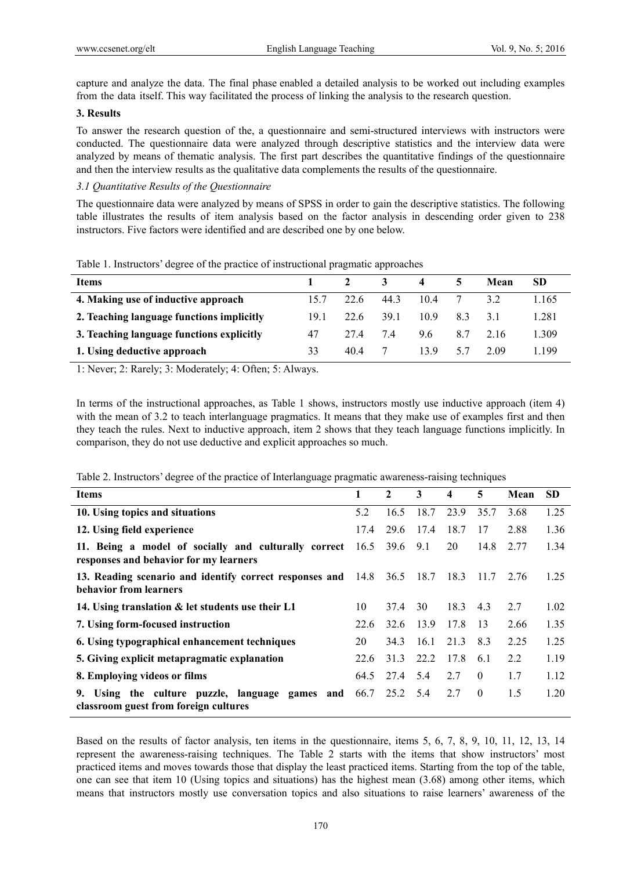capture and analyze the data. The final phase enabled a detailed analysis to be worked out including examples from the data itself. This way facilitated the process of linking the analysis to the research question.

#### **3. Results**

To answer the research question of the, a questionnaire and semi-structured interviews with instructors were conducted. The questionnaire data were analyzed through descriptive statistics and the interview data were analyzed by means of thematic analysis. The first part describes the quantitative findings of the questionnaire and then the interview results as the qualitative data complements the results of the questionnaire.

## *3.1 Quantitative Results of the Questionnaire*

The questionnaire data were analyzed by means of SPSS in order to gain the descriptive statistics. The following table illustrates the results of item analysis based on the factor analysis in descending order given to 238 instructors. Five factors were identified and are described one by one below.

| Items                                     |      | $\overline{2}$ | 3    | $\overline{\mathbf{4}}$ | 5. | Mean | <b>SD</b> |
|-------------------------------------------|------|----------------|------|-------------------------|----|------|-----------|
| 4. Making use of inductive approach       | 15.7 | 22.6           | 44.3 | 104                     |    |      | 1.165     |
| 2. Teaching language functions implicitly | 191  | 22.6           | 39.1 | 10.9                    | 83 | 31   | 1.281     |
| 3. Teaching language functions explicitly | 47   | 274            | 74   | 96                      | 87 | 2.16 | 1.309     |
| 1. Using deductive approach               | 33   | 404            |      | 139                     | 57 | 2.09 | -199      |

Table 1. Instructors' degree of the practice of instructional pragmatic approaches

1: Never; 2: Rarely; 3: Moderately; 4: Often; 5: Always.

In terms of the instructional approaches, as Table 1 shows, instructors mostly use inductive approach (item 4) with the mean of 3.2 to teach interlanguage pragmatics. It means that they make use of examples first and then they teach the rules. Next to inductive approach, item 2 shows that they teach language functions implicitly. In comparison, they do not use deductive and explicit approaches so much.

|  | Table 2. Instructors' degree of the practice of Interlanguage pragmatic awareness-raising techniques |  |
|--|------------------------------------------------------------------------------------------------------|--|

| <b>Items</b>                                                                                   |      | $\mathbf{2}$ | 3    | 4    | 5        | Mean | <b>SD</b> |
|------------------------------------------------------------------------------------------------|------|--------------|------|------|----------|------|-----------|
| 10. Using topics and situations                                                                | 5.2  | 16.5         | 18.7 | 23.9 | 35.7     | 3.68 | 1.25      |
| 12. Using field experience                                                                     | 17.4 | 29.6         | 17.4 | 18.7 | 17       | 2.88 | 1.36      |
| 11. Being a model of socially and culturally correct<br>responses and behavior for my learners | 16.5 | 39.6         | 9.1  | 20   | 14.8     | 2.77 | 1.34      |
| 13. Reading scenario and identify correct responses and 14.8<br>behavior from learners         |      | 36.5         | 18.7 | 18.3 | 11.7     | 2.76 | 1.25      |
| 14. Using translation $\&$ let students use their L1                                           | 10   | 37.4         | 30   | 18.3 | 4.3      | 2.7  | 1.02      |
| 7. Using form-focused instruction                                                              | 22.6 | 32.6         | 13.9 | 17.8 | -13      | 2.66 | 1.35      |
| 6. Using typographical enhancement techniques                                                  | 20   | 34.3         | 16.1 | 21.3 | 8.3      | 2.25 | 1.25      |
| 5. Giving explicit metapragmatic explanation                                                   | 22.6 | 31.3         | 22.2 | 17.8 | 6.1      | 2.2  | 1.19      |
| 8. Employing videos or films                                                                   | 64.5 | 27.4         | 5.4  | 2.7  | $\Omega$ | 1.7  | 1.12      |
| 9. Using the culture puzzle, language games and<br>classroom guest from foreign cultures       | 66.7 | 25.2         | 5.4  | 2.7  | $\theta$ | 1.5  | 1.20      |

Based on the results of factor analysis, ten items in the questionnaire, items 5, 6, 7, 8, 9, 10, 11, 12, 13, 14 represent the awareness-raising techniques. The Table 2 starts with the items that show instructors' most practiced items and moves towards those that display the least practiced items. Starting from the top of the table, one can see that item 10 (Using topics and situations) has the highest mean (3.68) among other items, which means that instructors mostly use conversation topics and also situations to raise learners' awareness of the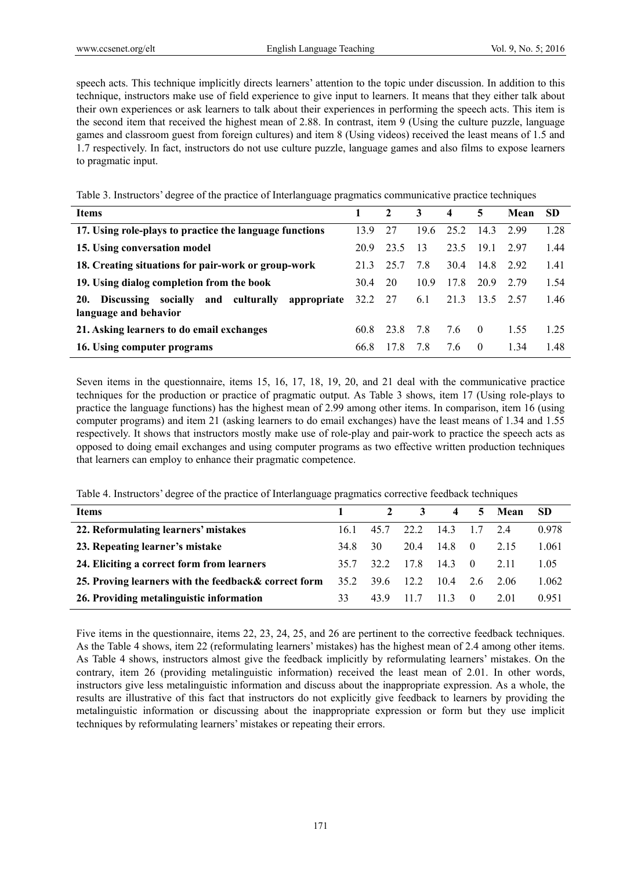speech acts. This technique implicitly directs learners' attention to the topic under discussion. In addition to this technique, instructors make use of field experience to give input to learners. It means that they either talk about their own experiences or ask learners to talk about their experiences in performing the speech acts. This item is the second item that received the highest mean of 2.88. In contrast, item 9 (Using the culture puzzle, language games and classroom guest from foreign cultures) and item 8 (Using videos) received the least means of 1.5 and 1.7 respectively. In fact, instructors do not use culture puzzle, language games and also films to expose learners to pragmatic input.

Table 3. Instructors' degree of the practice of Interlanguage pragmatics communicative practice techniques

| <b>Items</b>                                                                             |      | $\mathbf{2}$ | 3    | $\overline{\mathbf{4}}$ | 5         | Mean | <b>SD</b> |
|------------------------------------------------------------------------------------------|------|--------------|------|-------------------------|-----------|------|-----------|
| 17. Using role-plays to practice the language functions                                  | 139  | 27           | 19.6 | 25.2                    | 14.3      | 299  | 1.28      |
| 15. Using conversation model                                                             | 20.9 | 23.5         | 13   | 23.5                    | 19.1      | 297  | 1.44      |
| 18. Creating situations for pair-work or group-work                                      | 213  | 25.7         | 7.8  | 30.4                    | 14.8      | 292  | 1.41      |
| 19. Using dialog completion from the book                                                | 30.4 | 20           | 10.9 | 17.8                    | 20.9      | 2.79 | 1.54      |
| Discussing socially and culturally<br>appropriate<br><b>20.</b><br>language and behavior | 32.2 | -27          | 6.1  | 21.3                    | 13.5 2.57 |      | 1.46      |
| 21. Asking learners to do email exchanges                                                | 60.8 | 23.8         | 7.8  | 7.6                     | $\Omega$  | 1.55 | 1 25      |
| 16. Using computer programs                                                              | 66.8 | 17.8         | 78   | 7.6                     | $\theta$  | 1 34 | 148       |

Seven items in the questionnaire, items 15, 16, 17, 18, 19, 20, and 21 deal with the communicative practice techniques for the production or practice of pragmatic output. As Table 3 shows, item 17 (Using role-plays to practice the language functions) has the highest mean of 2.99 among other items. In comparison, item 16 (using computer programs) and item 21 (asking learners to do email exchanges) have the least means of 1.34 and 1.55 respectively. It shows that instructors mostly make use of role-play and pair-work to practice the speech acts as opposed to doing email exchanges and using computer programs as two effective written production techniques that learners can employ to enhance their pragmatic competence.

Table 4. Instructors' degree of the practice of Interlanguage pragmatics corrective feedback techniques

| <b>Items</b>                                          |      | $\overline{2}$ | 3    | $\overline{4}$ | 5 <sup>5</sup> | Mean   | -SD   |
|-------------------------------------------------------|------|----------------|------|----------------|----------------|--------|-------|
| 22. Reformulating learners' mistakes                  | 161  | 45.7           | 22.2 | 143            | 17             | 2.4    | 0.978 |
| 23. Repeating learner's mistake                       | 34 S | 30             | 204  | 148            | $\overline{0}$ | 2.15   | 1.061 |
| 24. Eliciting a correct form from learners            | 357  | 32.2           | 178  | 143            | $\overline{0}$ | 2.11   | 1.05  |
| 25. Proving learners with the feedback & correct form | 35.2 | 39.6           | 12.2 | 104            |                | 26 206 | 1.062 |
| 26. Providing metalinguistic information              | 33   | 439            | 11.7 | 113            | $\theta$       | 2.01   | 0.951 |

Five items in the questionnaire, items 22, 23, 24, 25, and 26 are pertinent to the corrective feedback techniques. As the Table 4 shows, item 22 (reformulating learners' mistakes) has the highest mean of 2.4 among other items. As Table 4 shows, instructors almost give the feedback implicitly by reformulating learners' mistakes. On the contrary, item 26 (providing metalinguistic information) received the least mean of 2.01. In other words, instructors give less metalinguistic information and discuss about the inappropriate expression. As a whole, the results are illustrative of this fact that instructors do not explicitly give feedback to learners by providing the metalinguistic information or discussing about the inappropriate expression or form but they use implicit techniques by reformulating learners' mistakes or repeating their errors.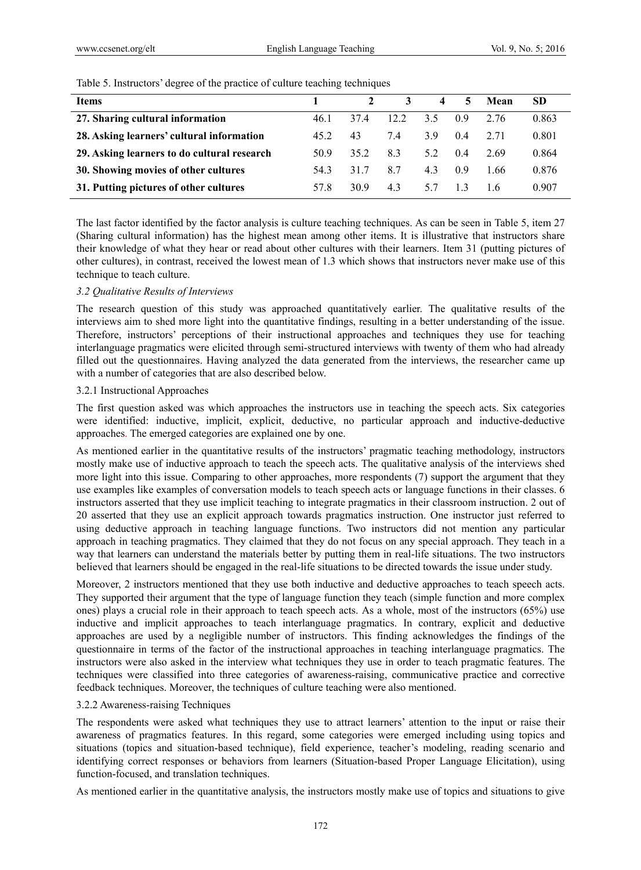| <b>Items</b>                                |      | $2^{\circ}$ | 3    | $\overline{4}$ | 5  | Mean | <b>SD</b> |
|---------------------------------------------|------|-------------|------|----------------|----|------|-----------|
| 27. Sharing cultural information            | 46.1 | 374         | 12.2 | 3.5            | 09 | 2.76 | 0.863     |
| 28. Asking learners' cultural information   | 45 2 | 43          | 74   | 39             | 04 | 2.71 | 0.801     |
| 29. Asking learners to do cultural research | 50.9 | 35 2        | 83   | 52             | 04 | 2.69 | 0.864     |
| 30. Showing movies of other cultures        | 543  | 317         | 87   | 4.3            | 09 | 1.66 | 0.876     |
| 31. Putting pictures of other cultures      | 57.8 | 30.9        | 4.3  | 57             | 13 | 16   | 0.907     |

Table 5. Instructors' degree of the practice of culture teaching techniques

The last factor identified by the factor analysis is culture teaching techniques. As can be seen in Table 5, item 27 (Sharing cultural information) has the highest mean among other items. It is illustrative that instructors share their knowledge of what they hear or read about other cultures with their learners. Item 31 (putting pictures of other cultures), in contrast, received the lowest mean of 1.3 which shows that instructors never make use of this technique to teach culture.

## *3.2 Qualitative Results of Interviews*

The research question of this study was approached quantitatively earlier. The qualitative results of the interviews aim to shed more light into the quantitative findings, resulting in a better understanding of the issue. Therefore, instructors' perceptions of their instructional approaches and techniques they use for teaching interlanguage pragmatics were elicited through semi-structured interviews with twenty of them who had already filled out the questionnaires. Having analyzed the data generated from the interviews, the researcher came up with a number of categories that are also described below.

#### 3.2.1 Instructional Approaches

The first question asked was which approaches the instructors use in teaching the speech acts. Six categories were identified: inductive, implicit, explicit, deductive, no particular approach and inductive-deductive approaches. The emerged categories are explained one by one.

As mentioned earlier in the quantitative results of the instructors' pragmatic teaching methodology, instructors mostly make use of inductive approach to teach the speech acts. The qualitative analysis of the interviews shed more light into this issue. Comparing to other approaches, more respondents (7) support the argument that they use examples like examples of conversation models to teach speech acts or language functions in their classes. 6 instructors asserted that they use implicit teaching to integrate pragmatics in their classroom instruction. 2 out of 20 asserted that they use an explicit approach towards pragmatics instruction. One instructor just referred to using deductive approach in teaching language functions. Two instructors did not mention any particular approach in teaching pragmatics. They claimed that they do not focus on any special approach. They teach in a way that learners can understand the materials better by putting them in real-life situations. The two instructors believed that learners should be engaged in the real-life situations to be directed towards the issue under study.

Moreover, 2 instructors mentioned that they use both inductive and deductive approaches to teach speech acts. They supported their argument that the type of language function they teach (simple function and more complex ones) plays a crucial role in their approach to teach speech acts. As a whole, most of the instructors (65%) use inductive and implicit approaches to teach interlanguage pragmatics. In contrary, explicit and deductive approaches are used by a negligible number of instructors. This finding acknowledges the findings of the questionnaire in terms of the factor of the instructional approaches in teaching interlanguage pragmatics. The instructors were also asked in the interview what techniques they use in order to teach pragmatic features. The techniques were classified into three categories of awareness-raising, communicative practice and corrective feedback techniques. Moreover, the techniques of culture teaching were also mentioned.

## 3.2.2 Awareness-raising Techniques

The respondents were asked what techniques they use to attract learners' attention to the input or raise their awareness of pragmatics features. In this regard, some categories were emerged including using topics and situations (topics and situation-based technique), field experience, teacher's modeling, reading scenario and identifying correct responses or behaviors from learners (Situation-based Proper Language Elicitation), using function-focused, and translation techniques.

As mentioned earlier in the quantitative analysis, the instructors mostly make use of topics and situations to give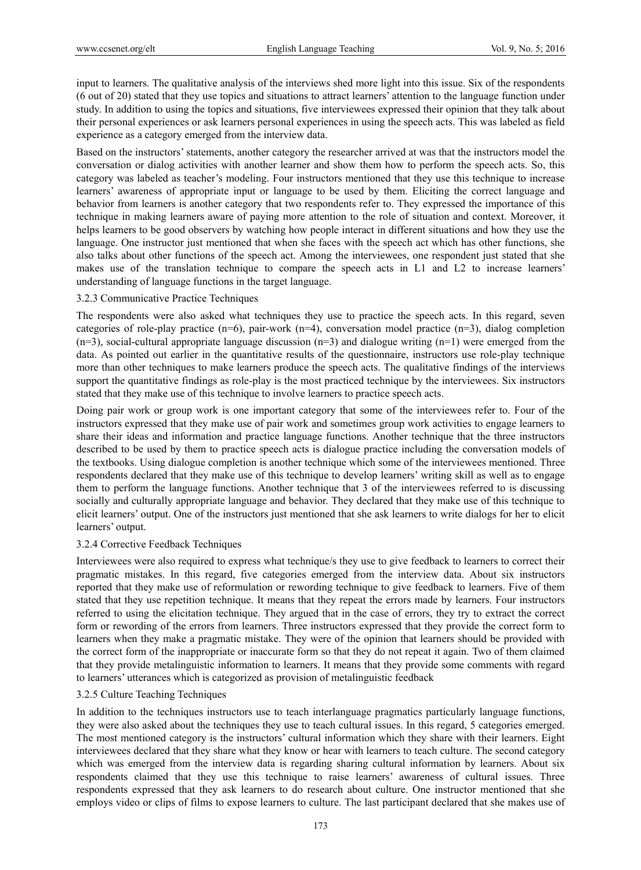input to learners. The qualitative analysis of the interviews shed more light into this issue. Six of the respondents (6 out of 20) stated that they use topics and situations to attract learners' attention to the language function under study. In addition to using the topics and situations, five interviewees expressed their opinion that they talk about their personal experiences or ask learners personal experiences in using the speech acts. This was labeled as field experience as a category emerged from the interview data.

Based on the instructors' statements, another category the researcher arrived at was that the instructors model the conversation or dialog activities with another learner and show them how to perform the speech acts. So, this category was labeled as teacher's modeling. Four instructors mentioned that they use this technique to increase learners' awareness of appropriate input or language to be used by them. Eliciting the correct language and behavior from learners is another category that two respondents refer to. They expressed the importance of this technique in making learners aware of paying more attention to the role of situation and context. Moreover, it helps learners to be good observers by watching how people interact in different situations and how they use the language. One instructor just mentioned that when she faces with the speech act which has other functions, she also talks about other functions of the speech act. Among the interviewees, one respondent just stated that she makes use of the translation technique to compare the speech acts in L1 and L2 to increase learners' understanding of language functions in the target language.

#### 3.2.3 Communicative Practice Techniques

The respondents were also asked what techniques they use to practice the speech acts. In this regard, seven categories of role-play practice  $(n=6)$ , pair-work  $(n=4)$ , conversation model practice  $(n=3)$ , dialog completion  $(n=3)$ , social-cultural appropriate language discussion  $(n=3)$  and dialogue writing  $(n=1)$  were emerged from the data. As pointed out earlier in the quantitative results of the questionnaire, instructors use role-play technique more than other techniques to make learners produce the speech acts. The qualitative findings of the interviews support the quantitative findings as role-play is the most practiced technique by the interviewees. Six instructors stated that they make use of this technique to involve learners to practice speech acts.

Doing pair work or group work is one important category that some of the interviewees refer to. Four of the instructors expressed that they make use of pair work and sometimes group work activities to engage learners to share their ideas and information and practice language functions. Another technique that the three instructors described to be used by them to practice speech acts is dialogue practice including the conversation models of the textbooks. Using dialogue completion is another technique which some of the interviewees mentioned. Three respondents declared that they make use of this technique to develop learners' writing skill as well as to engage them to perform the language functions. Another technique that 3 of the interviewees referred to is discussing socially and culturally appropriate language and behavior. They declared that they make use of this technique to elicit learners' output. One of the instructors just mentioned that she ask learners to write dialogs for her to elicit learners' output.

## 3.2.4 Corrective Feedback Techniques

Interviewees were also required to express what technique/s they use to give feedback to learners to correct their pragmatic mistakes. In this regard, five categories emerged from the interview data. About six instructors reported that they make use of reformulation or rewording technique to give feedback to learners. Five of them stated that they use repetition technique. It means that they repeat the errors made by learners. Four instructors referred to using the elicitation technique. They argued that in the case of errors, they try to extract the correct form or rewording of the errors from learners. Three instructors expressed that they provide the correct form to learners when they make a pragmatic mistake. They were of the opinion that learners should be provided with the correct form of the inappropriate or inaccurate form so that they do not repeat it again. Two of them claimed that they provide metalinguistic information to learners. It means that they provide some comments with regard to learners' utterances which is categorized as provision of metalinguistic feedback

## 3.2.5 Culture Teaching Techniques

In addition to the techniques instructors use to teach interlanguage pragmatics particularly language functions, they were also asked about the techniques they use to teach cultural issues. In this regard, 5 categories emerged. The most mentioned category is the instructors' cultural information which they share with their learners. Eight interviewees declared that they share what they know or hear with learners to teach culture. The second category which was emerged from the interview data is regarding sharing cultural information by learners. About six respondents claimed that they use this technique to raise learners' awareness of cultural issues. Three respondents expressed that they ask learners to do research about culture. One instructor mentioned that she employs video or clips of films to expose learners to culture. The last participant declared that she makes use of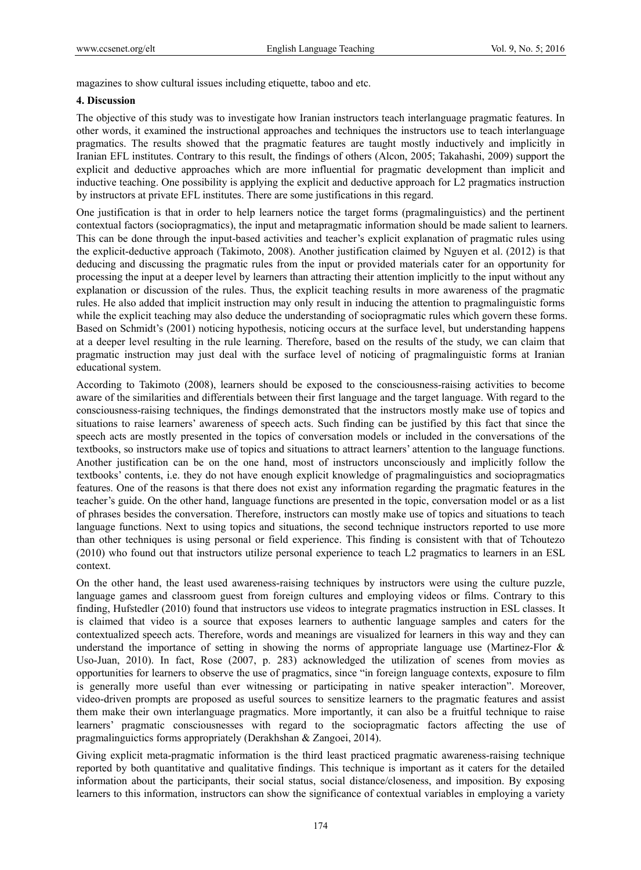magazines to show cultural issues including etiquette, taboo and etc.

#### **4. Discussion**

The objective of this study was to investigate how Iranian instructors teach interlanguage pragmatic features. In other words, it examined the instructional approaches and techniques the instructors use to teach interlanguage pragmatics. The results showed that the pragmatic features are taught mostly inductively and implicitly in Iranian EFL institutes. Contrary to this result, the findings of others (Alcon, 2005; Takahashi, 2009) support the explicit and deductive approaches which are more influential for pragmatic development than implicit and inductive teaching. One possibility is applying the explicit and deductive approach for L2 pragmatics instruction by instructors at private EFL institutes. There are some justifications in this regard.

One justification is that in order to help learners notice the target forms (pragmalinguistics) and the pertinent contextual factors (sociopragmatics), the input and metapragmatic information should be made salient to learners. This can be done through the input-based activities and teacher's explicit explanation of pragmatic rules using the explicit-deductive approach (Takimoto, 2008). Another justification claimed by Nguyen et al. (2012) is that deducing and discussing the pragmatic rules from the input or provided materials cater for an opportunity for processing the input at a deeper level by learners than attracting their attention implicitly to the input without any explanation or discussion of the rules. Thus, the explicit teaching results in more awareness of the pragmatic rules. He also added that implicit instruction may only result in inducing the attention to pragmalinguistic forms while the explicit teaching may also deduce the understanding of sociopragmatic rules which govern these forms. Based on Schmidt's (2001) noticing hypothesis, noticing occurs at the surface level, but understanding happens at a deeper level resulting in the rule learning. Therefore, based on the results of the study, we can claim that pragmatic instruction may just deal with the surface level of noticing of pragmalinguistic forms at Iranian educational system.

According to Takimoto (2008), learners should be exposed to the consciousness-raising activities to become aware of the similarities and differentials between their first language and the target language. With regard to the consciousness-raising techniques, the findings demonstrated that the instructors mostly make use of topics and situations to raise learners' awareness of speech acts. Such finding can be justified by this fact that since the speech acts are mostly presented in the topics of conversation models or included in the conversations of the textbooks, so instructors make use of topics and situations to attract learners' attention to the language functions. Another justification can be on the one hand, most of instructors unconsciously and implicitly follow the textbooks' contents, i.e. they do not have enough explicit knowledge of pragmalinguistics and sociopragmatics features. One of the reasons is that there does not exist any information regarding the pragmatic features in the teacher's guide. On the other hand, language functions are presented in the topic, conversation model or as a list of phrases besides the conversation. Therefore, instructors can mostly make use of topics and situations to teach language functions. Next to using topics and situations, the second technique instructors reported to use more than other techniques is using personal or field experience. This finding is consistent with that of Tchoutezo (2010) who found out that instructors utilize personal experience to teach L2 pragmatics to learners in an ESL context.

On the other hand, the least used awareness-raising techniques by instructors were using the culture puzzle, language games and classroom guest from foreign cultures and employing videos or films. Contrary to this finding, Hufstedler (2010) found that instructors use videos to integrate pragmatics instruction in ESL classes. It is claimed that video is a source that exposes learners to authentic language samples and caters for the contextualized speech acts. Therefore, words and meanings are visualized for learners in this way and they can understand the importance of setting in showing the norms of appropriate language use (Martinez-Flor  $\&$ Uso-Juan, 2010). In fact, Rose (2007, p. 283) acknowledged the utilization of scenes from movies as opportunities for learners to observe the use of pragmatics, since "in foreign language contexts, exposure to film is generally more useful than ever witnessing or participating in native speaker interaction". Moreover, video-driven prompts are proposed as useful sources to sensitize learners to the pragmatic features and assist them make their own interlanguage pragmatics. More importantly, it can also be a fruitful technique to raise learners' pragmatic consciousnesses with regard to the sociopragmatic factors affecting the use of pragmalinguictics forms appropriately (Derakhshan & Zangoei, 2014).

Giving explicit meta-pragmatic information is the third least practiced pragmatic awareness-raising technique reported by both quantitative and qualitative findings. This technique is important as it caters for the detailed information about the participants, their social status, social distance/closeness, and imposition. By exposing learners to this information, instructors can show the significance of contextual variables in employing a variety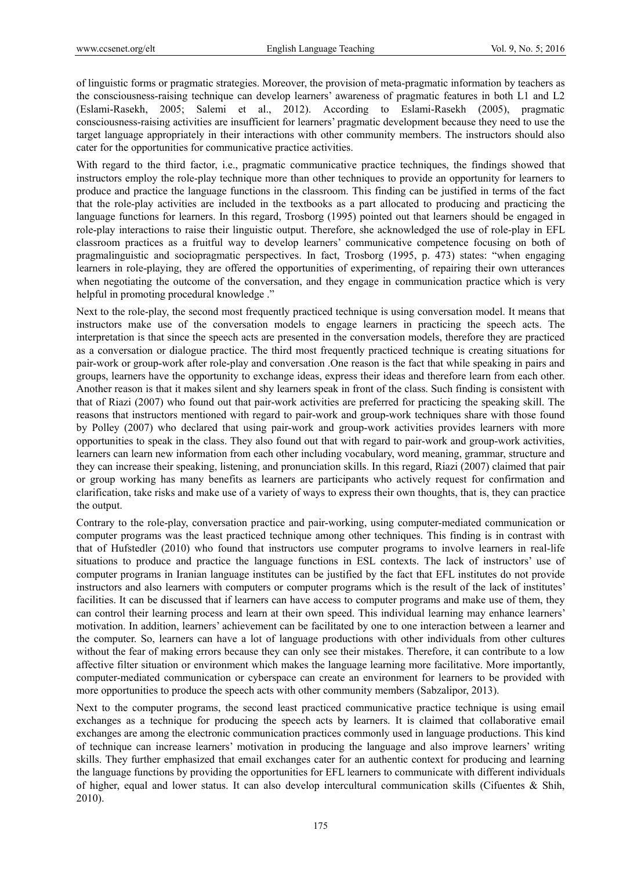of linguistic forms or pragmatic strategies. Moreover, the provision of meta-pragmatic information by teachers as the consciousness-raising technique can develop learners' awareness of pragmatic features in both L1 and L2 (Eslami-Rasekh, 2005; Salemi et al., 2012). According to Eslami-Rasekh (2005), pragmatic consciousness-raising activities are insufficient for learners' pragmatic development because they need to use the target language appropriately in their interactions with other community members. The instructors should also cater for the opportunities for communicative practice activities.

With regard to the third factor, i.e., pragmatic communicative practice techniques, the findings showed that instructors employ the role-play technique more than other techniques to provide an opportunity for learners to produce and practice the language functions in the classroom. This finding can be justified in terms of the fact that the role-play activities are included in the textbooks as a part allocated to producing and practicing the language functions for learners. In this regard, Trosborg (1995) pointed out that learners should be engaged in role-play interactions to raise their linguistic output. Therefore, she acknowledged the use of role-play in EFL classroom practices as a fruitful way to develop learners' communicative competence focusing on both of pragmalinguistic and sociopragmatic perspectives. In fact, Trosborg (1995, p. 473) states: "when engaging learners in role-playing, they are offered the opportunities of experimenting, of repairing their own utterances when negotiating the outcome of the conversation, and they engage in communication practice which is very helpful in promoting procedural knowledge ."

Next to the role-play, the second most frequently practiced technique is using conversation model. It means that instructors make use of the conversation models to engage learners in practicing the speech acts. The interpretation is that since the speech acts are presented in the conversation models, therefore they are practiced as a conversation or dialogue practice. The third most frequently practiced technique is creating situations for pair-work or group-work after role-play and conversation .One reason is the fact that while speaking in pairs and groups, learners have the opportunity to exchange ideas, express their ideas and therefore learn from each other. Another reason is that it makes silent and shy learners speak in front of the class. Such finding is consistent with that of Riazi (2007) who found out that pair-work activities are preferred for practicing the speaking skill. The reasons that instructors mentioned with regard to pair-work and group-work techniques share with those found by Polley (2007) who declared that using pair-work and group-work activities provides learners with more opportunities to speak in the class. They also found out that with regard to pair-work and group-work activities, learners can learn new information from each other including vocabulary, word meaning, grammar, structure and they can increase their speaking, listening, and pronunciation skills. In this regard, Riazi (2007) claimed that pair or group working has many benefits as learners are participants who actively request for confirmation and clarification, take risks and make use of a variety of ways to express their own thoughts, that is, they can practice the output.

Contrary to the role-play, conversation practice and pair-working, using computer-mediated communication or computer programs was the least practiced technique among other techniques. This finding is in contrast with that of Hufstedler (2010) who found that instructors use computer programs to involve learners in real-life situations to produce and practice the language functions in ESL contexts. The lack of instructors' use of computer programs in Iranian language institutes can be justified by the fact that EFL institutes do not provide instructors and also learners with computers or computer programs which is the result of the lack of institutes' facilities. It can be discussed that if learners can have access to computer programs and make use of them, they can control their learning process and learn at their own speed. This individual learning may enhance learners' motivation. In addition, learners' achievement can be facilitated by one to one interaction between a learner and the computer. So, learners can have a lot of language productions with other individuals from other cultures without the fear of making errors because they can only see their mistakes. Therefore, it can contribute to a low affective filter situation or environment which makes the language learning more facilitative. More importantly, computer-mediated communication or cyberspace can create an environment for learners to be provided with more opportunities to produce the speech acts with other community members (Sabzalipor, 2013).

Next to the computer programs, the second least practiced communicative practice technique is using email exchanges as a technique for producing the speech acts by learners. It is claimed that collaborative email exchanges are among the electronic communication practices commonly used in language productions. This kind of technique can increase learners' motivation in producing the language and also improve learners' writing skills. They further emphasized that email exchanges cater for an authentic context for producing and learning the language functions by providing the opportunities for EFL learners to communicate with different individuals of higher, equal and lower status. It can also develop intercultural communication skills (Cifuentes & Shih, 2010).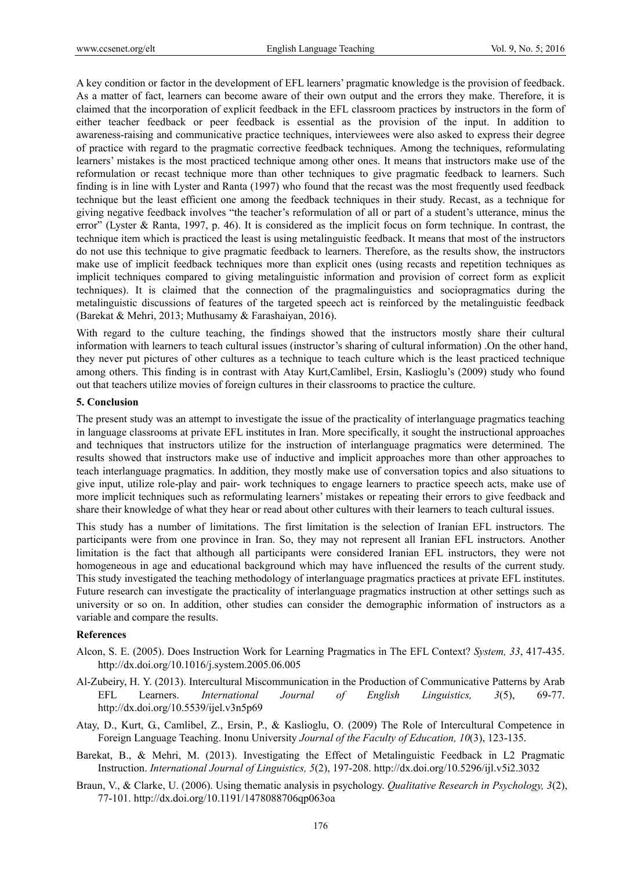A key condition or factor in the development of EFL learners' pragmatic knowledge is the provision of feedback. As a matter of fact, learners can become aware of their own output and the errors they make. Therefore, it is claimed that the incorporation of explicit feedback in the EFL classroom practices by instructors in the form of either teacher feedback or peer feedback is essential as the provision of the input. In addition to awareness-raising and communicative practice techniques, interviewees were also asked to express their degree of practice with regard to the pragmatic corrective feedback techniques. Among the techniques, reformulating learners' mistakes is the most practiced technique among other ones. It means that instructors make use of the reformulation or recast technique more than other techniques to give pragmatic feedback to learners. Such finding is in line with Lyster and Ranta (1997) who found that the recast was the most frequently used feedback technique but the least efficient one among the feedback techniques in their study. Recast, as a technique for giving negative feedback involves "the teacher's reformulation of all or part of a student's utterance, minus the error" (Lyster & Ranta, 1997, p. 46). It is considered as the implicit focus on form technique. In contrast, the technique item which is practiced the least is using metalinguistic feedback. It means that most of the instructors do not use this technique to give pragmatic feedback to learners. Therefore, as the results show, the instructors make use of implicit feedback techniques more than explicit ones (using recasts and repetition techniques as implicit techniques compared to giving metalinguistic information and provision of correct form as explicit techniques). It is claimed that the connection of the pragmalinguistics and sociopragmatics during the metalinguistic discussions of features of the targeted speech act is reinforced by the metalinguistic feedback (Barekat & Mehri, 2013; Muthusamy & Farashaiyan, 2016).

With regard to the culture teaching, the findings showed that the instructors mostly share their cultural information with learners to teach cultural issues (instructor's sharing of cultural information) .On the other hand, they never put pictures of other cultures as a technique to teach culture which is the least practiced technique among others. This finding is in contrast with Atay Kurt,Camlibel, Ersin, Kaslioglu's (2009) study who found out that teachers utilize movies of foreign cultures in their classrooms to practice the culture.

#### **5. Conclusion**

The present study was an attempt to investigate the issue of the practicality of interlanguage pragmatics teaching in language classrooms at private EFL institutes in Iran. More specifically, it sought the instructional approaches and techniques that instructors utilize for the instruction of interlanguage pragmatics were determined. The results showed that instructors make use of inductive and implicit approaches more than other approaches to teach interlanguage pragmatics. In addition, they mostly make use of conversation topics and also situations to give input, utilize role-play and pair- work techniques to engage learners to practice speech acts, make use of more implicit techniques such as reformulating learners' mistakes or repeating their errors to give feedback and share their knowledge of what they hear or read about other cultures with their learners to teach cultural issues.

This study has a number of limitations. The first limitation is the selection of Iranian EFL instructors. The participants were from one province in Iran. So, they may not represent all Iranian EFL instructors. Another limitation is the fact that although all participants were considered Iranian EFL instructors, they were not homogeneous in age and educational background which may have influenced the results of the current study. This study investigated the teaching methodology of interlanguage pragmatics practices at private EFL institutes. Future research can investigate the practicality of interlanguage pragmatics instruction at other settings such as university or so on. In addition, other studies can consider the demographic information of instructors as a variable and compare the results.

## **References**

- Alcon, S. E. (2005). Does Instruction Work for Learning Pragmatics in The EFL Context? *System, 33*, 417-435. http://dx.doi.org/10.1016/j.system.2005.06.005
- Al-Zubeiry, H. Y. (2013). Intercultural Miscommunication in the Production of Communicative Patterns by Arab EFL Learners. *International Journal of English Linguistics, 3*(5), 69-77. http://dx.doi.org/10.5539/ijel.v3n5p69
- Atay, D., Kurt, G., Camlibel, Z., Ersin, P., & Kaslioglu, O. (2009) The Role of Intercultural Competence in Foreign Language Teaching. Inonu University *Journal of the Faculty of Education, 10*(3), 123-135.
- Barekat, B., & Mehri, M. (2013). Investigating the Effect of Metalinguistic Feedback in L2 Pragmatic Instruction. *International Journal of Linguistics, 5*(2), 197-208. http://dx.doi.org/10.5296/ijl.v5i2.3032
- Braun, V., & Clarke, U. (2006). Using thematic analysis in psychology. *Qualitative Research in Psychology, 3*(2), 77-101. http://dx.doi.org/10.1191/1478088706qp063oa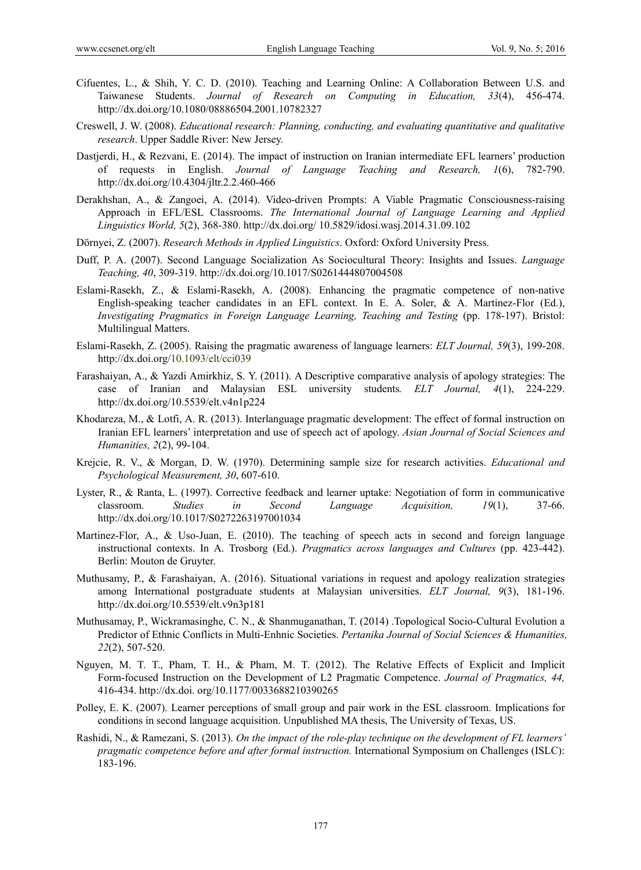- Cifuentes, L., & Shih, Y. C. D. (2010). Teaching and Learning Online: A Collaboration Between U.S. and Taiwanese Students. *Journal of Research on Computing in Education, 33*(4), 456-474. http://dx.doi.org/10.1080/08886504.2001.10782327
- Creswell, J. W. (2008). *Educational research: Planning, conducting, and evaluating quantitative and qualitative research*. Upper Saddle River: New Jersey.
- Dastjerdi, H., & Rezvani, E. (2014). The impact of instruction on Iranian intermediate EFL learners' production of requests in English. *Journal of Language Teaching and Research, 1*(6), 782-790. http://dx.doi.org/10.4304/jltr.2.2.460-466
- Derakhshan, A., & Zangoei, A. (2014). Video-driven Prompts: A Viable Pragmatic Consciousness-raising Approach in EFL/ESL Classrooms. *The International Journal of Language Learning and Applied Linguistics World, 5*(2), 368-380. http://dx.doi.org/ 10.5829/idosi.wasj.2014.31.09.102
- Dörnyei, Z. (2007). *Research Methods in Applied Linguistics*. Oxford: Oxford University Press.
- Duff, P. A. (2007). Second Language Socialization As Sociocultural Theory: Insights and Issues. *Language Teaching, 40*, 309-319. http://dx.doi.org/10.1017/S0261444807004508
- Eslami-Rasekh, Z., & Eslami-Rasekh, A. (2008). Enhancing the pragmatic competence of non-native English-speaking teacher candidates in an EFL context. In E. A. Soler, & A. Martinez-Flor (Ed.), *Investigating Pragmatics in Foreign Language Learning, Teaching and Testing* (pp. 178-197). Bristol: Multilingual Matters.
- Eslami-Rasekh, Z. (2005). Raising the pragmatic awareness of language learners: *ELT Journal, 59*(3), 199-208. http://dx.doi.org/10.1093/elt/cci039
- Farashaiyan, A., & Yazdi Amirkhiz, S. Y. (2011). A Descriptive comparative analysis of apology strategies: The case of Iranian and Malaysian ESL university students*. ELT Journal, 4*(1), 224-229. http://dx.doi.org/10.5539/elt.v4n1p224
- Khodareza, M., & Lotfi, A. R. (2013). Interlanguage pragmatic development: The effect of formal instruction on Iranian EFL learners' interpretation and use of speech act of apology. *Asian Journal of Social Sciences and Humanities, 2*(2), 99-104.
- Krejcie, R. V., & Morgan, D. W. (1970). Determining sample size for research activities. *Educational and Psychological Measurement, 30*, 607-610.
- Lyster, R., & Ranta, L. (1997). Corrective feedback and learner uptake: Negotiation of form in communicative classroom. *Studies in Second Language Acquisition, 19*(1), 37-66. http://dx.doi.org/10.1017/S0272263197001034
- Martinez-Flor, A., & Uso-Juan, E. (2010). The teaching of speech acts in second and foreign language instructional contexts. In A. Trosborg (Ed.). *Pragmatics across languages and Cultures* (pp. 423-442). Berlin: Mouton de Gruyter.
- Muthusamy, P., & Farashaiyan, A. (2016). Situational variations in request and apology realization strategies among International postgraduate students at Malaysian universities. *ELT Journal, 9*(3), 181-196. http://dx.doi.org/10.5539/elt.v9n3p181
- Muthusamay, P., Wickramasinghe, C. N., & Shanmuganathan, T. (2014) .Topological Socio-Cultural Evolution a Predictor of Ethnic Conflicts in Multi-Enhnic Societies. *Pertanika Journal of Social Sciences & Humanities, 22*(2), 507-520.
- Nguyen, M. T. T., Pham, T. H., & Pham, M. T. (2012). The Relative Effects of Explicit and Implicit Form-focused Instruction on the Development of L2 Pragmatic Competence. *Journal of Pragmatics, 44,*  416-434. http://dx.doi. org/10.1177/0033688210390265
- Polley, E. K. (2007). Learner perceptions of small group and pair work in the ESL classroom. Implications for conditions in second language acquisition. Unpublished MA thesis, The University of Texas, US.
- Rashidi, N., & Ramezani, S. (2013). *On the impact of the role-play technique on the development of FL learners' pragmatic competence before and after formal instruction.* International Symposium on Challenges (ISLC): 183-196.